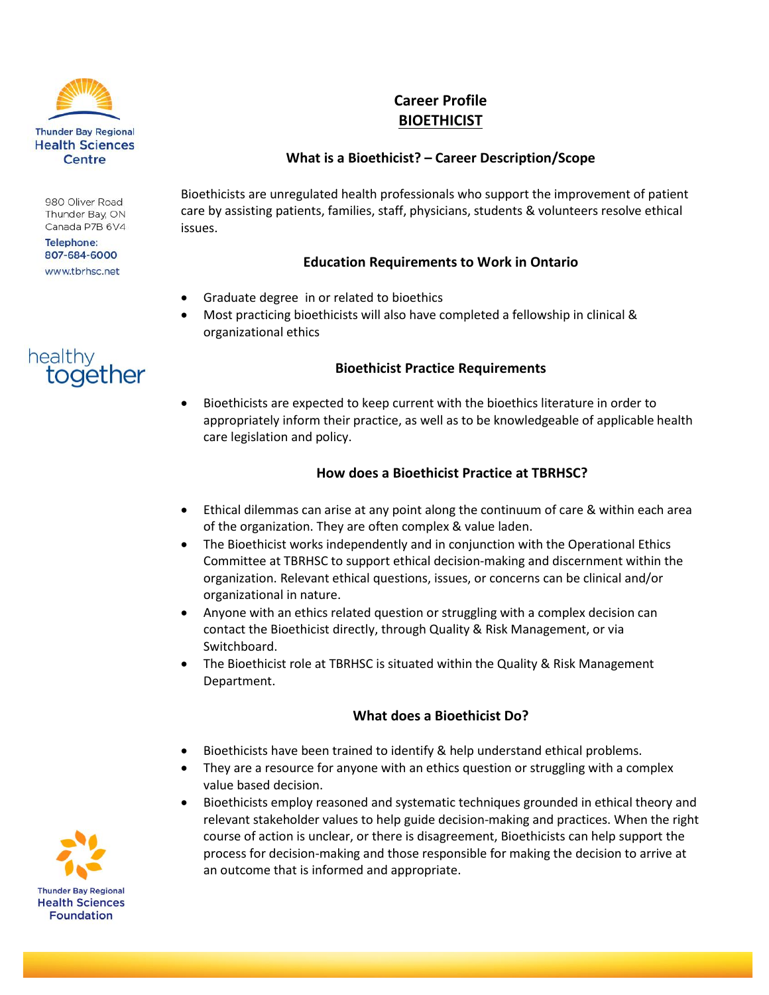

980 Oliver Road Thunder Bay, ON Canada P7B 6V4

**Telephone:** 807-684-6000 www.tbrhsc.net

# healthy together

# **Career Profile BIOETHICIST**

# **What is a Bioethicist? – Career Description/Scope**

Bioethicists are unregulated health professionals who support the improvement of patient care by assisting patients, families, staff, physicians, students & volunteers resolve ethical issues.

#### **Education Requirements to Work in Ontario**

- Graduate degree in or related to bioethics
- Most practicing bioethicists will also have completed a fellowship in clinical & organizational ethics

#### **Bioethicist Practice Requirements**

 Bioethicists are expected to keep current with the bioethics literature in order to appropriately inform their practice, as well as to be knowledgeable of applicable health care legislation and policy.

## **How does a Bioethicist Practice at TBRHSC?**

- Ethical dilemmas can arise at any point along the continuum of care & within each area of the organization. They are often complex & value laden.
- The Bioethicist works independently and in conjunction with the Operational Ethics Committee at TBRHSC to support ethical decision-making and discernment within the organization. Relevant ethical questions, issues, or concerns can be clinical and/or organizational in nature.
- Anyone with an ethics related question or struggling with a complex decision can contact the Bioethicist directly, through Quality & Risk Management, or via Switchboard.
- The Bioethicist role at TBRHSC is situated within the Quality & Risk Management Department.

## **What does a Bioethicist Do?**

- Bioethicists have been trained to identify & help understand ethical problems.
- They are a resource for anyone with an ethics question or struggling with a complex value based decision.
- Bioethicists employ reasoned and systematic techniques grounded in ethical theory and relevant stakeholder values to help guide decision-making and practices. When the right course of action is unclear, or there is disagreement, Bioethicists can help support the process for decision-making and those responsible for making the decision to arrive at an outcome that is informed and appropriate.